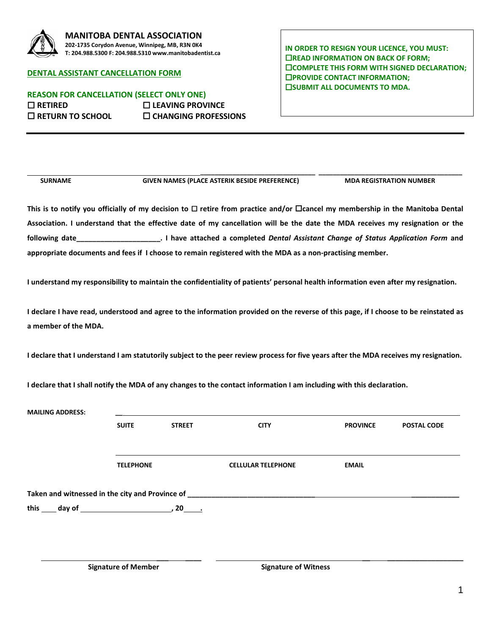

## **MANITOBA DENTAL ASSOCIATION 202-1735 Corydon Avenue, Winnipeg, MB, R3N 0K4 T: 204.988.5300 F: 204.988.5310 www.manitobadentist.ca**

## **DENTAL ASSISTANT CANCELLATION FORM**

**REASON FOR CANCELLATION (SELECT ONLY ONE) RETIRED LEAVING PROVINCE RETURN TO SCHOOL CHANGING PROFESSIONS** **IN ORDER TO RESIGN YOUR LICENCE, YOU MUST: EXECUTE INFORMATION ON BACK OF FORM; COMPLETE THIS FORM WITH SIGNED DECLARATION; PROVIDE CONTACT INFORMATION; EISUBMIT ALL DOCUMENTS TO MDA.** 

 **\_\_\_\_\_\_\_\_\_\_\_\_\_\_\_\_\_\_\_\_\_\_\_\_\_\_\_\_\_\_\_\_ \_\_\_\_\_\_\_\_\_\_\_\_\_\_\_\_\_\_\_\_\_\_\_\_\_\_\_\_\_\_\_\_\_\_\_\_\_\_\_\_ SURNAME GIVEN NAMES (PLACE ASTERIK BESIDE PREFERENCE) MDA REGISTRATION NUMBER**

This is to notify you officially of my decision to  $\Box$  retire from practice and/or  $\Box$ cancel my membership in the Manitoba Dental **Association. I understand that the effective date of my cancellation will be the date the MDA receives my resignation or the following date\_\_\_\_\_\_\_\_\_\_\_\_\_\_\_\_\_\_\_\_\_. I have attached a completed** *Dental Assistant Change of Status Application Form* **and appropriate documents and fees if I choose to remain registered with the MDA as a non-practising member.** 

**I understand my responsibility to maintain the confidentiality of patients' personal health information even after my resignation.** 

**I declare I have read, understood and agree to the information provided on the reverse of this page, if I choose to be reinstated as a member of the MDA.**

**I declare that I understand I am statutorily subject to the peer review process for five years after the MDA receives my resignation.**

**I declare that I shall notify the MDA of any changes to the contact information I am including with this declaration.**

| <b>MAILING ADDRESS:</b>                                                                                                                                         |                  |               |                           |                 |                    |
|-----------------------------------------------------------------------------------------------------------------------------------------------------------------|------------------|---------------|---------------------------|-----------------|--------------------|
|                                                                                                                                                                 | <b>SUITE</b>     | <b>STREET</b> | <b>CITY</b>               | <b>PROVINCE</b> | <b>POSTAL CODE</b> |
|                                                                                                                                                                 |                  |               |                           |                 |                    |
|                                                                                                                                                                 |                  |               |                           |                 |                    |
|                                                                                                                                                                 | <b>TELEPHONE</b> |               | <b>CELLULAR TELEPHONE</b> | <b>EMAIL</b>    |                    |
| Taken and witnessed in the city and Province of<br><u> 1980 - Jan Stein Harry Harry Harry Harry Harry Harry Harry Harry Harry Harry Harry Harry Harry Harry</u> |                  |               |                           |                 |                    |
| this $\_\_$ day of $\_\_$                                                                                                                                       |                  | $20$ .        |                           |                 |                    |

**Signature of Member Signature of Witness**

**\_\_\_ \_\_\_\_ \_\_ \_\_\_\_\_\_\_\_\_\_\_\_\_\_\_\_\_\_\_**